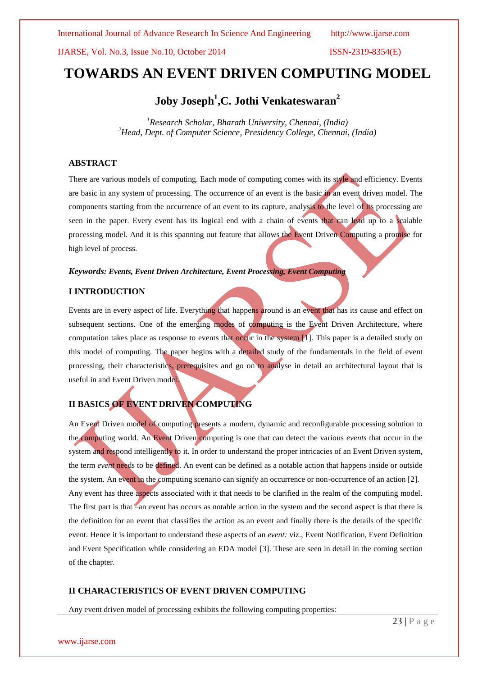# **TOWARDS AN EVENT DRIVEN COMPUTING MODEL**

# **Joby Joseph<sup>1</sup> ,C. Jothi Venkateswaran<sup>2</sup>**

*<sup>1</sup>Research Scholar, Bharath University, Chennai, (India) <sup>2</sup>Head, Dept. of Computer Science, Presidency College, Chennai, (India)*

## **ABSTRACT**

There are various models of computing. Each mode of computing comes with its style and efficiency. Events are basic in any system of processing. The occurrence of an event is the basic in an event driven model. The components starting from the occurrence of an event to its capture, analysis to the level of its processing are seen in the paper. Every event has its logical end with a chain of events that can lead up to a scalable processing model. And it is this spanning out feature that allows the Event Driven Computing a promise for high level of process.

#### *Keywords: Events, Event Driven Architecture, Event Processing, Event Computing*

#### **I INTRODUCTION**

Events are in every aspect of life. Everything that happens around is an event that has its cause and effect on subsequent sections. One of the emerging modes of computing is the Event Driven Architecture, where computation takes place as response to events that occur in the system [1]. This paper is a detailed study on this model of computing. The paper begins with a detailed study of the fundamentals in the field of event processing, their characteristics, prerequisites and go on to analyse in detail an architectural layout that is useful in and Event Driven model.

# **II BASICS OF EVENT DRIVEN COMPUTING**

An Event Driven model of computing presents a modern, dynamic and reconfigurable processing solution to the computing world. An Event Driven computing is one that can detect the various *events* that occur in the system and respond intelligently to it. In order to understand the proper intricacies of an Event Driven system, the term *event* needs to be defined. An event can be defined as a notable action that happens inside or outside the system. An event in the computing scenario can signify an occurrence or non-occurrence of an action [2]. Any event has three aspects associated with it that needs to be clarified in the realm of the computing model. The first part is that –an event has occurs as notable action in the system and the second aspect is that there is the definition for an event that classifies the action as an event and finally there is the details of the specific event. Hence it is important to understand these aspects of an *event:* viz., Event Notification, Event Definition and Event Specification while considering an EDA model [3]. These are seen in detail in the coming section of the chapter.

### **II CHARACTERISTICS OF EVENT DRIVEN COMPUTING**

Any event driven model of processing exhibits the following computing properties: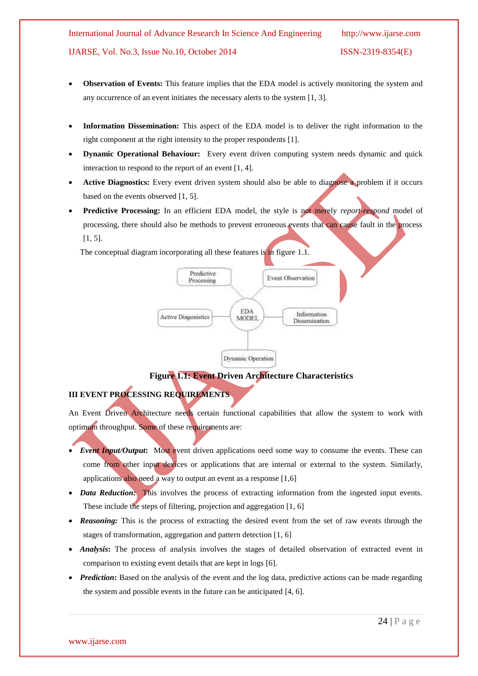- **Observation of Events:** This feature implies that the EDA model is actively monitoring the system and any occurrence of an event initiates the necessary alerts to the system [1, 3].
- **Information Dissemination:** This aspect of the EDA model is to deliver the right information to the right component at the right intensity to the proper respondents [1].
- **Dynamic Operational Behaviour:** Every event driven computing system needs dynamic and quick interaction to respond to the report of an event [1, 4].
- **Active Diagnostics:** Every event driven system should also be able to diagnose a problem if it occurs based on the events observed [1, 5].
- **Predictive Processing:** In an efficient EDA model, the style is not merely *report-respond* model of processing, there should also be methods to prevent erroneous events that can cause fault in the process  $[1, 5]$ .

The conceptual diagram incorporating all these features is in figure 1.1.



**Figure 1.1: Event Driven Architecture Characteristics** 

# **III EVENT PROCESSING REQUIREMENTS**

An Event Driven Architecture needs certain functional capabilities that allow the system to work with optimum throughput. Some of these requirements are:

- *Event Input/Output***:** Most event driven applications need some way to consume the events. These can come from other input devices or applications that are internal or external to the system. Similarly, applications also need a way to output an event as a response [1,6]
- *Data Reduction:* This involves the process of extracting information from the ingested input events. These include the steps of filtering, projection and aggregation [1, 6]
- *Reasoning:* This is the process of extracting the desired event from the set of raw events through the stages of transformation, aggregation and pattern detection [1, 6]
- *Analysis***:** The process of analysis involves the stages of detailed observation of extracted event in comparison to existing event details that are kept in logs [6].
- *Prediction*: Based on the analysis of the event and the log data, predictive actions can be made regarding the system and possible events in the future can be anticipated [4, 6].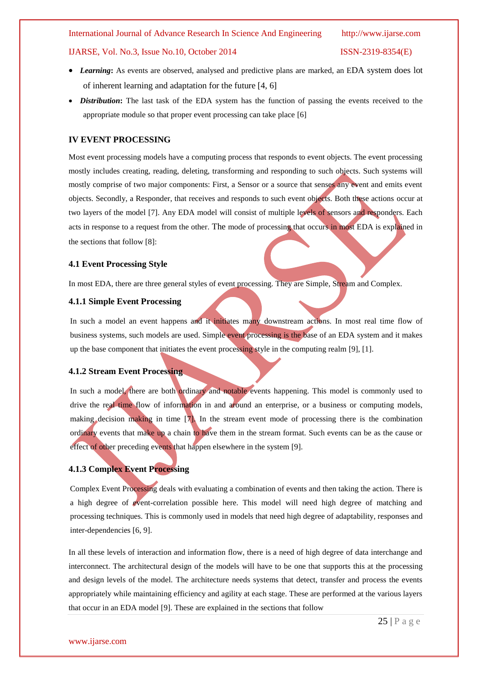- *Learning***:** As events are observed, analysed and predictive plans are marked, an EDA system does lot of inherent learning and adaptation for the future [4, 6]
- *Distribution***:** The last task of the EDA system has the function of passing the events received to the appropriate module so that proper event processing can take place [6]

#### **IV EVENT PROCESSING**

Most event processing models have a computing process that responds to event objects. The event processing mostly includes creating, reading, deleting, transforming and responding to such objects. Such systems will mostly comprise of two major components: First, a Sensor or a source that senses any event and emits event objects. Secondly, a Responder, that receives and responds to such event objects. Both these actions occur at two layers of the model [7]. Any EDA model will consist of multiple levels of sensors and responders. Each acts in response to a request from the other. The mode of processing that occurs in most EDA is explained in the sections that follow [8]:

#### **4.1 Event Processing Style**

In most EDA, there are three general styles of event processing. They are Simple, Stream and Complex.

#### **4.1.1 Simple Event Processing**

In such a model an event happens and it initiates many downstream actions. In most real time flow of business systems, such models are used. Simple event processing is the base of an EDA system and it makes up the base component that initiates the event processing style in the computing realm [9], [1].

#### **4.1.2 Stream Event Processing**

In such a model, there are both ordinary and notable events happening. This model is commonly used to drive the real time flow of information in and around an enterprise, or a business or computing models, making decision making in time [7]. In the stream event mode of processing there is the combination ordinary events that make up a chain to have them in the stream format. Such events can be as the cause or effect of other preceding events that happen elsewhere in the system [9].

#### **4.1.3 Complex Event Processing**

Complex Event Processing deals with evaluating a combination of events and then taking the action. There is a high degree of event-correlation possible here. This model will need high degree of matching and processing techniques. This is commonly used in models that need high degree of adaptability, responses and inter-dependencies [6, 9].

In all these levels of interaction and information flow, there is a need of high degree of data interchange and interconnect. The architectural design of the models will have to be one that supports this at the processing and design levels of the model. The architecture needs systems that detect, transfer and process the events appropriately while maintaining efficiency and agility at each stage. These are performed at the various layers that occur in an EDA model [9]. These are explained in the sections that follow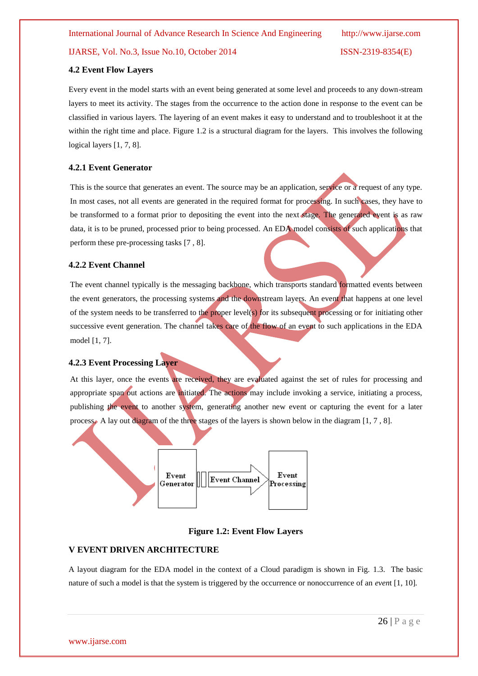#### **4.2 Event Flow Layers**

Every event in the model starts with an event being generated at some level and proceeds to any down-stream layers to meet its activity. The stages from the occurrence to the action done in response to the event can be classified in various layers. The layering of an event makes it easy to understand and to troubleshoot it at the within the right time and place. Figure 1.2 is a structural diagram for the layers. This involves the following logical layers [1, 7, 8].

### **4.2.1 Event Generator**

This is the source that generates an event. The source may be an application, service or a request of any type. In most cases, not all events are generated in the required format for processing. In such cases, they have to be transformed to a format prior to depositing the event into the next stage. The generated event is as raw data, it is to be pruned, processed prior to being processed. An EDA model consists of such applications that perform these pre-processing tasks [7 , 8].

#### **4.2.2 Event Channel**

The event channel typically is the messaging backbone, which transports standard formatted events between the event generators, the processing systems and the downstream layers. An event that happens at one level of the system needs to be transferred to the proper level(s) for its subsequent processing or for initiating other successive event generation. The channel takes care of the flow of an event to such applications in the EDA model [1, 7].

#### **4.2.3 Event Processing Layer**

At this layer, once the events are received, they are evaluated against the set of rules for processing and appropriate span out actions are initiated. The actions may include invoking a service, initiating a process, publishing the event to another system, generating another new event or capturing the event for a later process. A lay out diagram of the three stages of the layers is shown below in the diagram [1, 7 , 8].



#### **Figure 1.2: Event Flow Layers**

#### **V EVENT DRIVEN ARCHITECTURE**

A layout diagram for the EDA model in the context of a Cloud paradigm is shown in Fig. 1.3. The basic nature of such a model is that the system is triggered by the occurrence or nonoccurrence of an *even*t [1, 10]*.*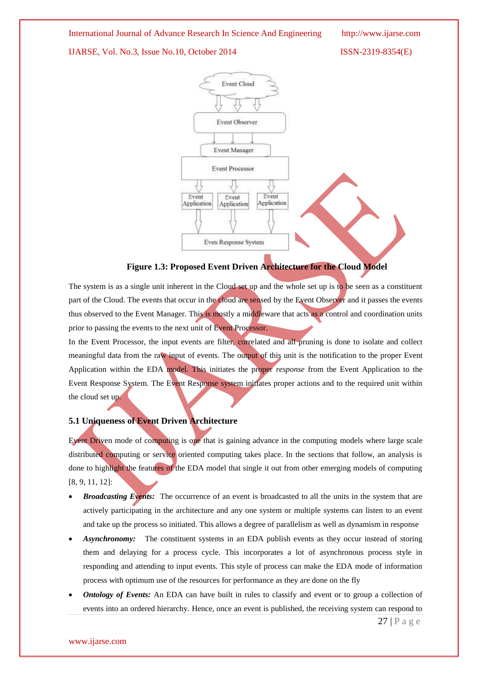International Journal of Advance Research In Science And Engineering http://www.ijarse.com

IJARSE, Vol. No.3, Issue No.10, October 2014 ISSN-2319-8354(E)



### **Figure 1.3: Proposed Event Driven Architecture for the Cloud Model**

The system is as a single unit inherent in the Cloud set up and the whole set up is to be seen as a constituent part of the Cloud. The events that occur in the cloud are sensed by the Event Observer and it passes the events thus observed to the Event Manager. This is mostly a middleware that acts as a control and coordination units prior to passing the events to the next unit of Event Processor.

In the Event Processor, the input events are filter, correlated and all pruning is done to isolate and collect meaningful data from the raw input of events. The output of this unit is the notification to the proper Event Application within the EDA model. This initiates the proper *response* from the Event Application to the Event Response System. The Event Response system initiates proper actions and to the required unit within the cloud set up.

## **5.1 Uniqueness of Event Driven Architecture**

Event Driven mode of computing is one that is gaining advance in the computing models where large scale distributed computing or service oriented computing takes place. In the sections that follow, an analysis is done to highlight the features of the EDA model that single it out from other emerging models of computing [8, 9, 11, 12]:

- *Broadcasting Events:* The occurrence of an event is broadcasted to all the units in the system that are actively participating in the architecture and any one system or multiple systems can listen to an event and take up the process so initiated. This allows a degree of parallelism as well as dynamism in response
- *Asynchronomy:* The constituent systems in an EDA publish events as they occur instead of storing them and delaying for a process cycle. This incorporates a lot of asynchronous process style in responding and attending to input events. This style of process can make the EDA mode of information process with optimum use of the resources for performance as they are done on the fly
- *Ontology of Events:* An EDA can have built in rules to classify and event or to group a collection of events into an ordered hierarchy. Hence, once an event is published, the receiving system can respond to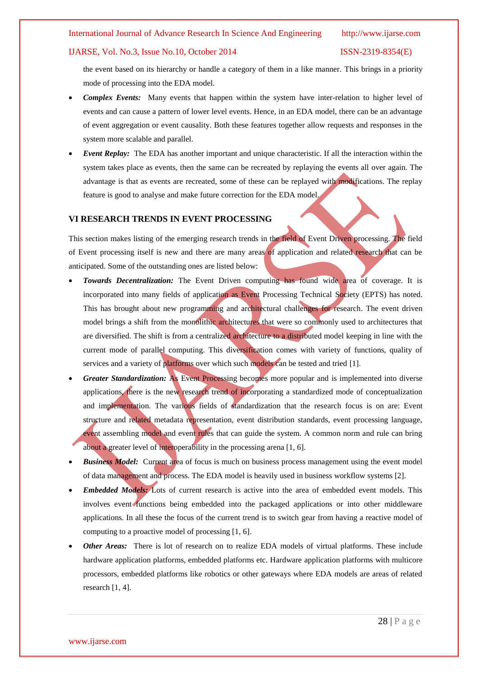#### International Journal of Advance Research In Science And Engineering http://www.ijarse.com

#### IJARSE, Vol. No.3, Issue No.10, October 2014 ISSN-2319-8354(E)

the event based on its hierarchy or handle a category of them in a like manner. This brings in a priority mode of processing into the EDA model.

- *Complex Events:* Many events that happen within the system have inter-relation to higher level of events and can cause a pattern of lower level events. Hence, in an EDA model, there can be an advantage of event aggregation or event causality. Both these features together allow requests and responses in the system more scalable and parallel.
- *Event Replay:* The EDA has another important and unique characteristic. If all the interaction within the system takes place as events, then the same can be recreated by replaying the events all over again. The advantage is that as events are recreated, some of these can be replayed with modifications. The replay feature is good to analyse and make future correction for the EDA model.

#### **VI RESEARCH TRENDS IN EVENT PROCESSING**

This section makes listing of the emerging research trends in the field of Event Driven processing. The field of Event processing itself is new and there are many areas of application and related research that can be anticipated. Some of the outstanding ones are listed below:

- *Towards Decentralization:* The Event Driven computing has found wide area of coverage. It is incorporated into many fields of application as Event Processing Technical Society (EPTS) has noted. This has brought about new programming and architectural challenges for research. The event driven model brings a shift from the monolithic architectures that were so commonly used to architectures that are diversified. The shift is from a centralized architecture to a distributed model keeping in line with the current mode of parallel computing. This diversification comes with variety of functions, quality of services and a variety of platforms over which such models can be tested and tried [1].
- *Greater Standardization:* As Event Processing becomes more popular and is implemented into diverse applications, there is the new research trend of incorporating a standardized mode of conceptualization and implementation. The various fields of standardization that the research focus is on are: Event structure and related metadata representation, event distribution standards, event processing language, event assembling model and event rules that can guide the system. A common norm and rule can bring about a greater level of interoperability in the processing arena [1, 6].
- **Business Model:** Current area of focus is much on business process management using the event model of data management and process. The EDA model is heavily used in business workflow systems [2].
- *Embedded Models:* Lots of current research is active into the area of embedded event models. This involves event functions being embedded into the packaged applications or into other middleware applications. In all these the focus of the current trend is to switch gear from having a reactive model of computing to a proactive model of processing [1, 6].
- *Other Areas:* There is lot of research on to realize EDA models of virtual platforms. These include hardware application platforms, embedded platforms etc. Hardware application platforms with multicore processors, embedded platforms like robotics or other gateways where EDA models are areas of related research [1, 4].